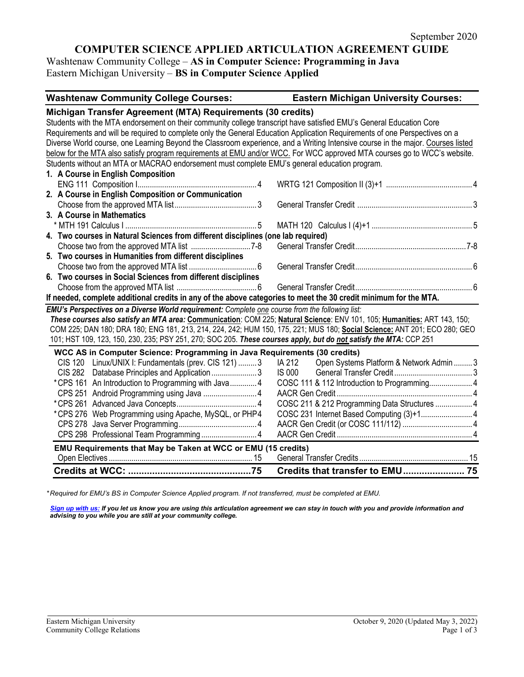# **COMPUTER SCIENCE APPLIED ARTICULATION AGREEMENT GUIDE**

Washtenaw Community College – **AS in Computer Science: Programming in Java** Eastern Michigan University – **BS in Computer Science Applied**

| <b>Washtenaw Community College Courses:</b> | <b>Eastern Michigan University Courses:</b> |
|---------------------------------------------|---------------------------------------------|
|                                             |                                             |

| Michigan Transfer Agreement (MTA) Requirements (30 credits)                                                                |                                                                                                                                 |
|----------------------------------------------------------------------------------------------------------------------------|---------------------------------------------------------------------------------------------------------------------------------|
| Students with the MTA endorsement on their community college transcript have satisfied EMU's General Education Core        |                                                                                                                                 |
| Requirements and will be required to complete only the General Education Application Requirements of one Perspectives on a |                                                                                                                                 |
|                                                                                                                            | Diverse World course, one Learning Beyond the Classroom experience, and a Writing Intensive course in the major. Courses listed |
|                                                                                                                            | below for the MTA also satisfy program requirements at EMU and/or WCC. For WCC approved MTA courses go to WCC's website.        |
| Students without an MTA or MACRAO endorsement must complete EMU's general education program.                               |                                                                                                                                 |
| 1. A Course in English Composition                                                                                         |                                                                                                                                 |
|                                                                                                                            |                                                                                                                                 |
| 2. A Course in English Composition or Communication                                                                        |                                                                                                                                 |
|                                                                                                                            |                                                                                                                                 |
| 3. A Course in Mathematics                                                                                                 |                                                                                                                                 |
|                                                                                                                            |                                                                                                                                 |
| 4. Two courses in Natural Sciences from different disciplines (one lab required)                                           |                                                                                                                                 |
|                                                                                                                            |                                                                                                                                 |
| 5. Two courses in Humanities from different disciplines                                                                    |                                                                                                                                 |
|                                                                                                                            |                                                                                                                                 |
| 6. Two courses in Social Sciences from different disciplines                                                               |                                                                                                                                 |
|                                                                                                                            |                                                                                                                                 |
| If needed, complete additional credits in any of the above categories to meet the 30 credit minimum for the MTA.           |                                                                                                                                 |
| EMU's Perspectives on a Diverse World requirement: Complete one course from the following list:                            |                                                                                                                                 |
|                                                                                                                            | These courses also satisfy an MTA area: Communication: COM 225; Natural Science: ENV 101, 105; Humanities: ART 143, 150;        |
|                                                                                                                            | COM 225; DAN 180; DRA 180; ENG 181, 213, 214, 224, 242; HUM 150, 175, 221; MUS 180; Social Science: ANT 201; ECO 280; GEO       |
| 101; HST 109, 123, 150, 230, 235; PSY 251, 270; SOC 205. These courses apply, but do not satisfy the MTA: CCP 251          |                                                                                                                                 |
| WCC AS in Computer Science: Programming in Java Requirements (30 credits)                                                  |                                                                                                                                 |
| CIS 120 Linux/UNIX I: Fundamentals (prev. CIS 121) 3                                                                       | Open Systems Platform & Network Admin  3<br>IA 212                                                                              |
| <b>CIS 282</b><br>Database Principles and Application 3                                                                    | IS 000                                                                                                                          |
| *CPS 161 An Introduction to Programming with Java 4                                                                        | COSC 111 & 112 Introduction to Programming 4                                                                                    |
|                                                                                                                            |                                                                                                                                 |
|                                                                                                                            | COSC 211 & 212 Programming Data Structures  4                                                                                   |
| *CPS 276 Web Programming using Apache, MySQL, or PHP4                                                                      |                                                                                                                                 |
|                                                                                                                            |                                                                                                                                 |
|                                                                                                                            |                                                                                                                                 |
| EMU Requirements that May be Taken at WCC or EMU (15 credits)                                                              |                                                                                                                                 |
|                                                                                                                            |                                                                                                                                 |
|                                                                                                                            | Credits that transfer to EMU 75                                                                                                 |

*\* Required for EMU's BS in Computer Science Applied program. If not transferred, must be completed at EMU.* 

**[Sign up with us:](https://www.emich.edu/ccr/articulation-agreements/signup.php)** If you let us know you are using this articulation agreement we can stay in touch with you and provide information and *advising to you while you are still at your community college.*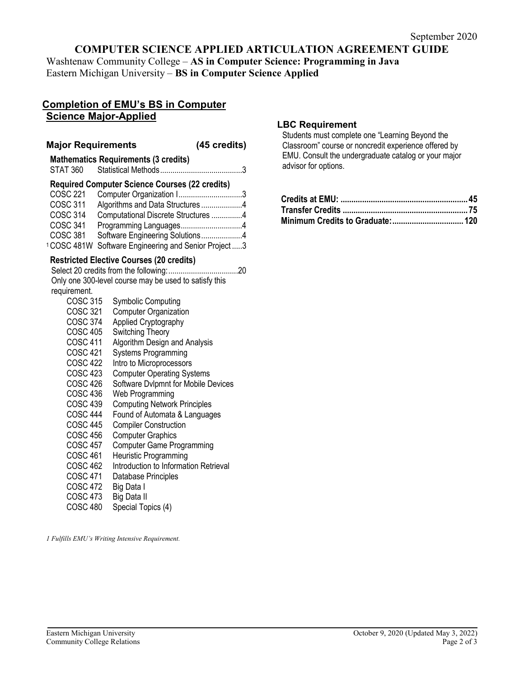## **COMPUTER SCIENCE APPLIED ARTICULATION AGREEMENT GUIDE**

Washtenaw Community College – **AS in Computer Science: Programming in Java** Eastern Michigan University – **BS in Computer Science Applied**

### **Completion of EMU's BS in Computer Science Major-Applied**

#### **Major Requirements (45 credits)**

| <b>STAT 360</b>                                                                                                                                                                                                                                                                                                                                                                                   | <b>Mathematics Requirements (3 credits)</b><br>Statistical Methods<br>. 3                                                                                                                                                                                                                                                                                                                                                                                                                                                                                                                                                                                                                                                                                  |
|---------------------------------------------------------------------------------------------------------------------------------------------------------------------------------------------------------------------------------------------------------------------------------------------------------------------------------------------------------------------------------------------------|------------------------------------------------------------------------------------------------------------------------------------------------------------------------------------------------------------------------------------------------------------------------------------------------------------------------------------------------------------------------------------------------------------------------------------------------------------------------------------------------------------------------------------------------------------------------------------------------------------------------------------------------------------------------------------------------------------------------------------------------------------|
| <b>COSC 221</b><br><b>COSC 311</b><br><b>COSC 314</b><br><b>COSC 341</b><br><b>COSC 381</b>                                                                                                                                                                                                                                                                                                       | <b>Required Computer Science Courses (22 credits)</b><br>Computer Organization I3<br>Algorithms and Data Structures4<br>Computational Discrete Structures 4<br>Software Engineering Solutions4<br><sup>1</sup> COSC 481W Software Engineering and Senior Project3                                                                                                                                                                                                                                                                                                                                                                                                                                                                                          |
| requirement.<br><b>COSC 315</b><br>COSC 321<br><b>COSC 374</b><br><b>COSC 405</b><br><b>COSC 411</b><br><b>COSC 421</b><br><b>COSC 422</b><br><b>COSC 423</b><br><b>COSC 426</b><br><b>COSC 436</b><br><b>COSC 439</b><br><b>COSC 444</b><br><b>COSC 445</b><br><b>COSC 456</b><br><b>COSC 457</b><br><b>COSC 461</b><br><b>COSC 462</b><br><b>COSC 471</b><br><b>COSC 472</b><br><b>COSC 473</b> | <b>Restricted Elective Courses (20 credits)</b><br>Select 20 credits from the following:<br>. 20<br>Only one 300-level course may be used to satisfy this<br><b>Symbolic Computing</b><br><b>Computer Organization</b><br>Applied Cryptography<br>Switching Theory<br>Algorithm Design and Analysis<br><b>Systems Programming</b><br>Intro to Microprocessors<br><b>Computer Operating Systems</b><br>Software Dvlpmnt for Mobile Devices<br>Web Programming<br><b>Computing Network Principles</b><br>Found of Automata & Languages<br><b>Compiler Construction</b><br><b>Computer Graphics</b><br><b>Computer Game Programming</b><br>Heuristic Programming<br>Introduction to Information Retrieval<br>Database Principles<br>Big Data I<br>Big Data II |
| <b>COSC 480</b>                                                                                                                                                                                                                                                                                                                                                                                   | Special Topics (4)                                                                                                                                                                                                                                                                                                                                                                                                                                                                                                                                                                                                                                                                                                                                         |

*1 Fulfills EMU's Writing Intensive Requirement.*

### **LBC Requirement**

Students must complete one "Learning Beyond the Classroom" course or noncredit experience offered by EMU. Consult the undergraduate catalog or your major advisor for options.